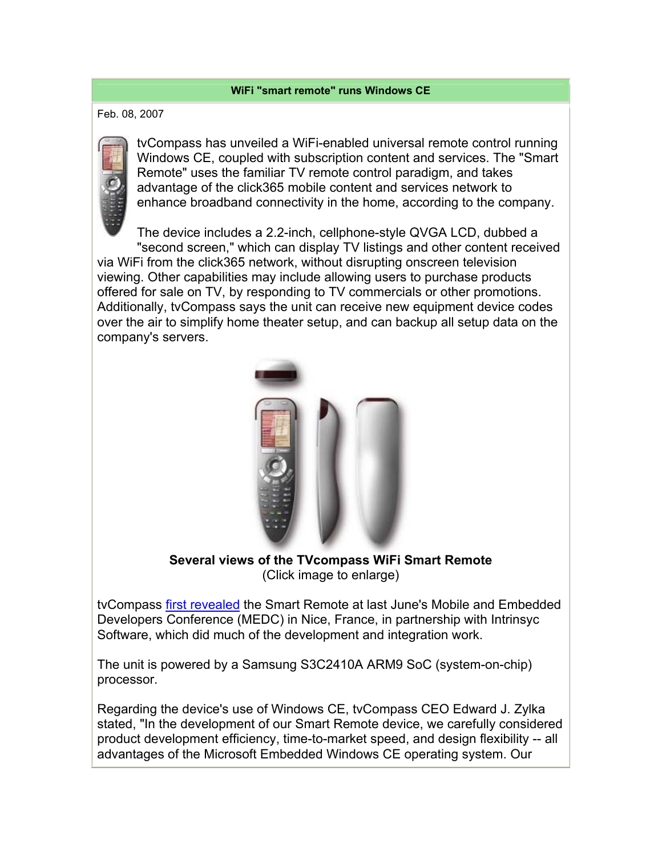## **WiFi "smart remote" runs Windows CE**

Feb. 08, 2007

tvCompass has unveiled a WiFi-enabled universal remote control running Windows CE, coupled with subscription content and services. The "Smart Remote" uses the familiar TV remote control paradigm, and takes advantage of the click365 mobile content and services network to enhance broadband connectivity in the home, according to the company.

The device includes a 2.2-inch, cellphone-style QVGA LCD, dubbed a "second screen," which can display TV listings and other content received via WiFi from the click365 network, without disrupting onscreen television viewing. Other capabilities may include allowing users to purchase products offered for sale on TV, by responding to TV commercials or other promotions. Additionally, tvCompass says the unit can receive new equipment device codes over the air to simplify home theater setup, and can backup all setup data on the company's servers.



**Several views of the TVcompass WiFi Smart Remote** (Click image to enlarge)

tvCompass first revealed the Smart Remote at last June's Mobile and Embedded Developers Conference (MEDC) in Nice, France, in partnership with Intrinsyc Software, which did much of the development and integration work.

The unit is powered by a Samsung S3C2410A ARM9 SoC (system-on-chip) processor.

Regarding the device's use of Windows CE, tvCompass CEO Edward J. Zylka stated, "In the development of our Smart Remote device, we carefully considered product development efficiency, time-to-market speed, and design flexibility -- all advantages of the Microsoft Embedded Windows CE operating system. Our